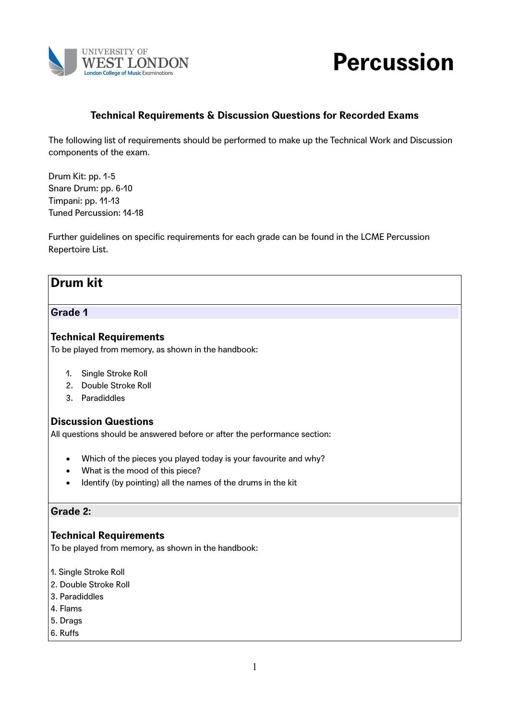



# **Technical Requirements & Discussion Questions for Recorded Exams**

The following list of requirements should be performed to make up the Technical Work and Discussion components of the exam.

Drum Kit: pp. 1-5 Snare Drum: pp. 6-10 Timpani: pp. 11-13 Tuned Percussion: 14-18

Further guidelines on specific requirements for each grade can be found in the LCME Percussion Repertoire List.

# **Drum kit**

#### **Grade 1**

#### **Technical Requirements**

To be played from memory, as shown in the handbook:

- 1. Single Stroke Roll
- 2. Double Stroke Roll
- 3. Paradiddles

#### **Discussion Questions**

All questions should be answered before or after the performance section:

- Which of the pieces you played today is your favourite and why?
- What is the mood of this piece?
- Identify (by pointing) all the names of the drums in the kit

#### **Grade 2:**

#### **Technical Requirements**

To be played from memory, as shown in the handbook:

- 1. Single Stroke Roll
- 2. Double Stroke Roll
- 3. Paradiddles
- 4. Flams
- 5. Drags
- 6. Ruffs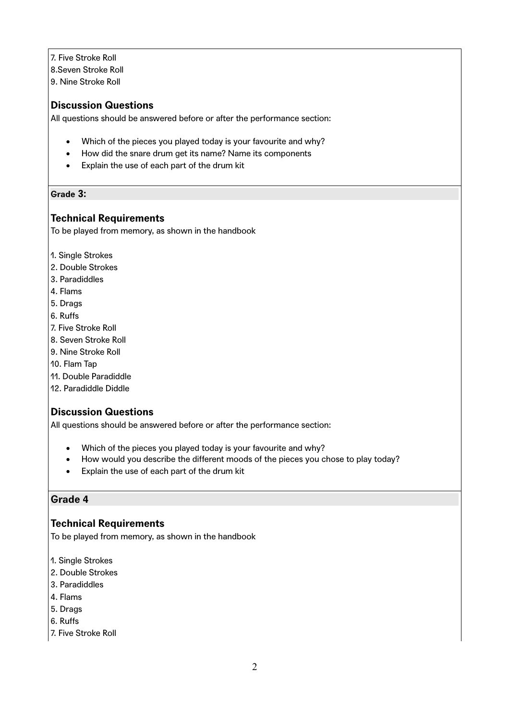- 7. Five Stroke Roll
- 8.Seven Stroke Roll
- 9. Nine Stroke Roll

All questions should be answered before or after the performance section:

- Which of the pieces you played today is your favourite and why?
- How did the snare drum get its name? Name its components
- Explain the use of each part of the drum kit

#### **Grade 3:**

### **Technical Requirements**

To be played from memory, as shown in the handbook

- 1. Single Strokes
- 2. Double Strokes
- 3. Paradiddles
- 4. Flams
- 5. Drags
- 6. Ruffs
- 7. Five Stroke Roll
- 8. Seven Stroke Roll
- 9. Nine Stroke Roll
- 10. Flam Tap
- 11. Double Paradiddle
- 12. Paradiddle Diddle

# **Discussion Questions**

All questions should be answered before or after the performance section:

- Which of the pieces you played today is your favourite and why?
- How would you describe the different moods of the pieces you chose to play today?
- Explain the use of each part of the drum kit

### **Grade 4**

### **Technical Requirements**

To be played from memory, as shown in the handbook

- 1. Single Strokes
- 2. Double Strokes
- 3. Paradiddles
- 4. Flams
- 5. Drags
- 6. Ruffs
- 7. Five Stroke Roll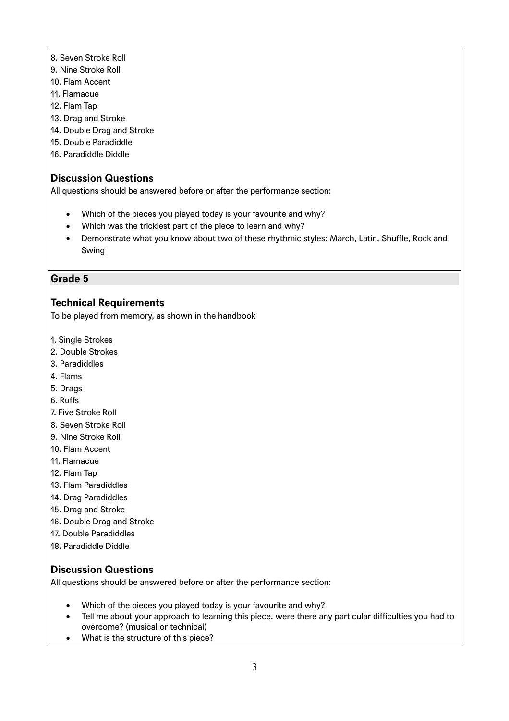- 8. Seven Stroke Roll
- 9. Nine Stroke Roll
- 10. Flam Accent
- 11. Flamacue
- 12. Flam Tap
- 13. Drag and Stroke
- 14. Double Drag and Stroke
- 15. Double Paradiddle
- 16. Paradiddle Diddle

All questions should be answered before or after the performance section:

- Which of the pieces you played today is your favourite and why?
- Which was the trickiest part of the piece to learn and why?
- Demonstrate what you know about two of these rhythmic styles: March, Latin, Shuffle, Rock and Swing

### **Grade 5**

### **Technical Requirements**

To be played from memory, as shown in the handbook

- 1. Single Strokes
- 2. Double Strokes
- 3. Paradiddles
- 4. Flams
- 5. Drags
- 6. Ruffs
- 7. Five Stroke Roll
- 8. Seven Stroke Roll
- 9. Nine Stroke Roll
- 10. Flam Accent
- 11. Flamacue
- 12. Flam Tap
- 13. Flam Paradiddles
- 14. Drag Paradiddles
- 15. Drag and Stroke
- 16. Double Drag and Stroke
- 17. Double Paradiddles
- 18. Paradiddle Diddle

### **Discussion Questions**

- Which of the pieces you played today is your favourite and why?
- Tell me about your approach to learning this piece, were there any particular difficulties you had to overcome? (musical or technical)
- What is the structure of this piece?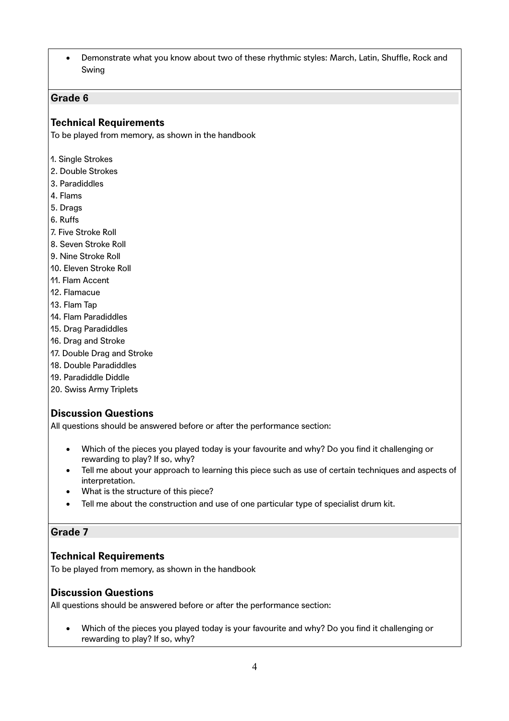Demonstrate what you know about two of these rhythmic styles: March, Latin, Shuffle, Rock and Swing

### **Grade 6**

### **Technical Requirements**

To be played from memory, as shown in the handbook

- 1. Single Strokes
- 2. Double Strokes
- 3. Paradiddles
- 4. Flams
- 5. Drags
- 6. Ruffs
- 7. Five Stroke Roll
- 8. Seven Stroke Roll
- 9. Nine Stroke Roll
- 10. Eleven Stroke Roll
- 11. Flam Accent
- 12. Flamacue
- 13. Flam Tap
- 14. Flam Paradiddles
- 15. Drag Paradiddles
- 16. Drag and Stroke
- 17. Double Drag and Stroke
- 18. Double Paradiddles
- 19. Paradiddle Diddle
- 20. Swiss Army Triplets

# **Discussion Questions**

All questions should be answered before or after the performance section:

- Which of the pieces you played today is your favourite and why? Do you find it challenging or rewarding to play? If so, why?
- Tell me about your approach to learning this piece such as use of certain techniques and aspects of interpretation.
- What is the structure of this piece?
- Tell me about the construction and use of one particular type of specialist drum kit.

### **Grade 7**

### **Technical Requirements**

To be played from memory, as shown in the handbook

### **Discussion Questions**

All questions should be answered before or after the performance section:

 Which of the pieces you played today is your favourite and why? Do you find it challenging or rewarding to play? If so, why?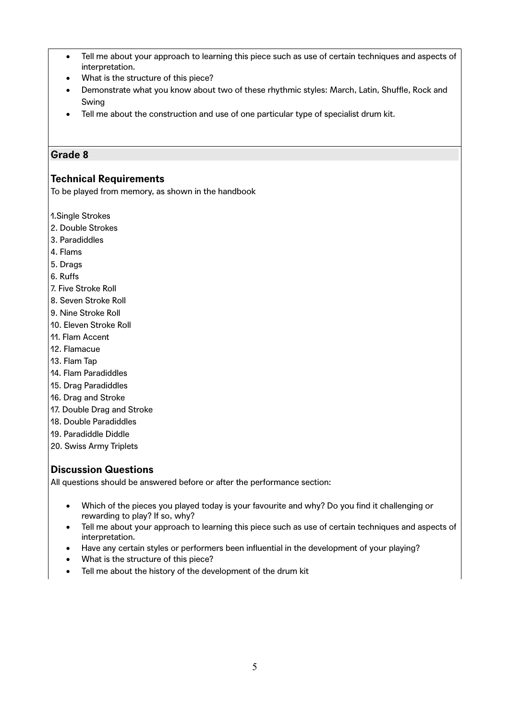- Tell me about your approach to learning this piece such as use of certain techniques and aspects of interpretation.
- What is the structure of this piece?
- Demonstrate what you know about two of these rhythmic styles: March, Latin, Shuffle, Rock and Swing
- Tell me about the construction and use of one particular type of specialist drum kit.

### **Technical Requirements**

To be played from memory, as shown in the handbook

1.Single Strokes

- 2. Double Strokes
- 3. Paradiddles
- 4. Flams
- 5. Drags
- 6. Ruffs
- 7. Five Stroke Roll
- 8. Seven Stroke Roll
- 9. Nine Stroke Roll
- 10. Eleven Stroke Roll
- 11. Flam Accent
- 12. Flamacue
- 13. Flam Tap
- 14. Flam Paradiddles
- 15. Drag Paradiddles
- 16. Drag and Stroke
- 17. Double Drag and Stroke
- 18. Double Paradiddles
- 19. Paradiddle Diddle
- 20. Swiss Army Triplets

### **Discussion Questions**

- Which of the pieces you played today is your favourite and why? Do you find it challenging or rewarding to play? If so, why?
- Tell me about your approach to learning this piece such as use of certain techniques and aspects of interpretation.
- Have any certain styles or performers been influential in the development of your playing?
- What is the structure of this piece?
- Tell me about the history of the development of the drum kit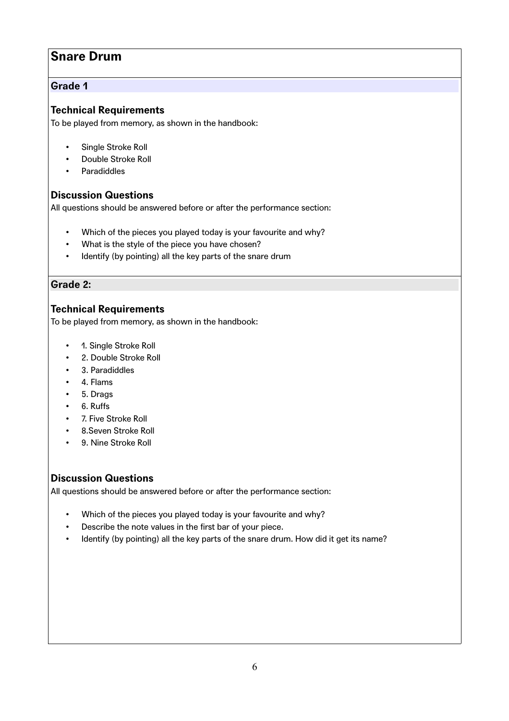# **Snare Drum**

### **Grade 1**

# **Technical Requirements**

To be played from memory, as shown in the handbook:

- Single Stroke Roll
- Double Stroke Roll
- **Paradiddles**

### **Discussion Questions**

All questions should be answered before or after the performance section:

- Which of the pieces you played today is your favourite and why?
- What is the style of the piece you have chosen?
- Identify (by pointing) all the key parts of the snare drum

## **Grade 2:**

## **Technical Requirements**

To be played from memory, as shown in the handbook:

- 1. Single Stroke Roll
- 2. Double Stroke Roll
- 3. Paradiddles
- 4. Flams
- 5. Drags
- 6. Ruffs
- 7. Five Stroke Roll
- 8.Seven Stroke Roll
- 9. Nine Stroke Roll

### **Discussion Questions**

- Which of the pieces you played today is your favourite and why?
- Describe the note values in the first bar of your piece.
- Identify (by pointing) all the key parts of the snare drum. How did it get its name?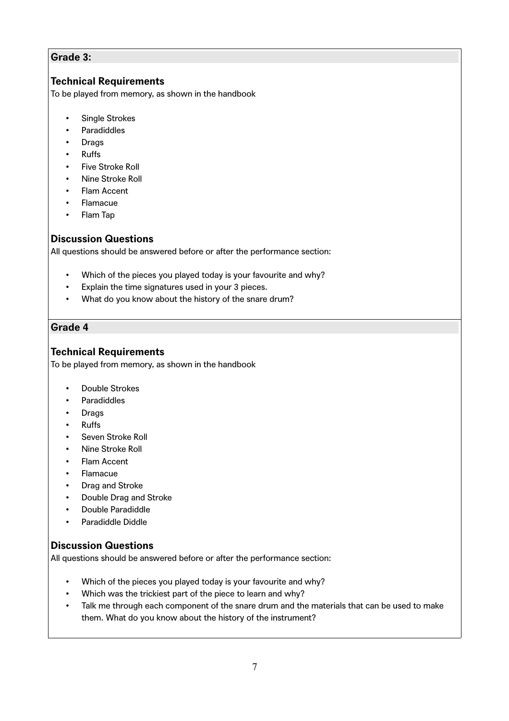### **Grade 3:**

# **Technical Requirements**

To be played from memory, as shown in the handbook

- Single Strokes
- **Paradiddles**
- **Drags**
- Ruffs
- Five Stroke Roll
- Nine Stroke Roll
- **Flam Accent**
- Flamacue
- Flam Tap

### **Discussion Questions**

All questions should be answered before or after the performance section:

- Which of the pieces you played today is your favourite and why?
- Explain the time signatures used in your 3 pieces.
- What do you know about the history of the snare drum?

### **Grade 4**

### **Technical Requirements**

To be played from memory, as shown in the handbook

- Double Strokes
- Paradiddles
- Drags
- Ruffs
- Seven Stroke Roll
- Nine Stroke Roll
- **Flam Accent**
- Flamacue
- Drag and Stroke
- Double Drag and Stroke
- Double Paradiddle
- Paradiddle Diddle

### **Discussion Questions**

- Which of the pieces you played today is your favourite and why?
- Which was the trickiest part of the piece to learn and why?
- Talk me through each component of the snare drum and the materials that can be used to make them. What do you know about the history of the instrument?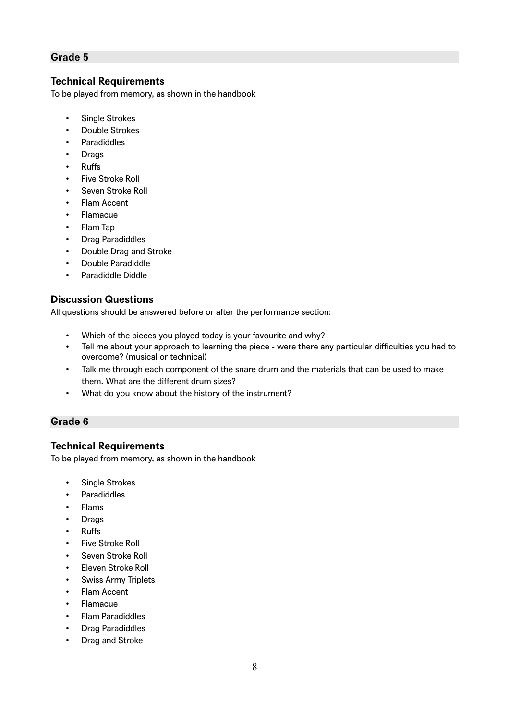## **Technical Requirements**

To be played from memory, as shown in the handbook

- Single Strokes
- Double Strokes
- Paradiddles
- **Drags**
- Ruffs
- Five Stroke Roll
- Seven Stroke Roll
- Flam Accent
- Flamacue
- Flam Tap
- Drag Paradiddles
- Double Drag and Stroke
- Double Paradiddle
- Paradiddle Diddle

### **Discussion Questions**

All questions should be answered before or after the performance section:

- Which of the pieces you played today is your favourite and why?
- Tell me about your approach to learning the piece were there any particular difficulties you had to overcome? (musical or technical)
- Talk me through each component of the snare drum and the materials that can be used to make them. What are the different drum sizes?
- What do you know about the history of the instrument?

#### **Grade 6**

### **Technical Requirements**

To be played from memory, as shown in the handbook

- Single Strokes
- **Paradiddles**
- Flams
- **Drags**
- Ruffs
- Five Stroke Roll
- Seven Stroke Roll
- Eleven Stroke Roll
- Swiss Army Triplets
- **Flam Accent**
- Flamacue
- Flam Paradiddles
- Drag Paradiddles
- Drag and Stroke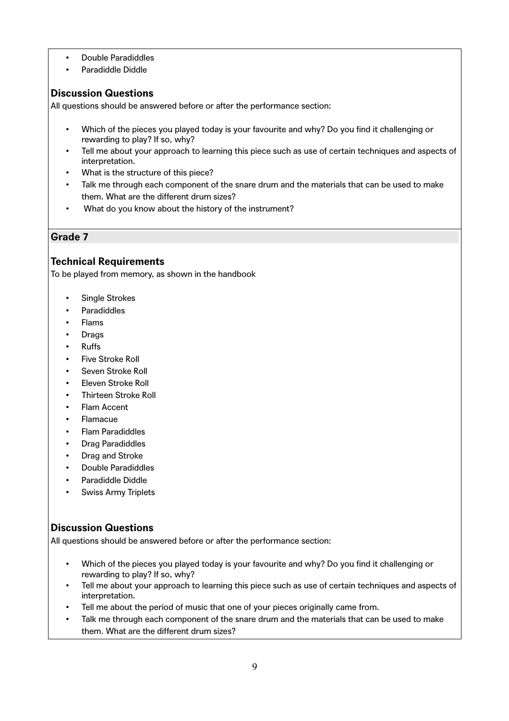- Double Paradiddles
- Paradiddle Diddle

All questions should be answered before or after the performance section:

- Which of the pieces you played today is your favourite and why? Do you find it challenging or rewarding to play? If so, why?
- Tell me about your approach to learning this piece such as use of certain techniques and aspects of interpretation.
- What is the structure of this piece?
- Talk me through each component of the snare drum and the materials that can be used to make them. What are the different drum sizes?
- What do you know about the history of the instrument?

### **Grade 7**

## **Technical Requirements**

To be played from memory, as shown in the handbook

- Single Strokes
- Paradiddles
- Flams
- **Drags**
- Ruffs
- Five Stroke Roll
- Seven Stroke Roll
- Eleven Stroke Roll
- Thirteen Stroke Roll
- Flam Accent
- Flamacue
- Flam Paradiddles
- Drag Paradiddles
- Drag and Stroke
- Double Paradiddles
- Paradiddle Diddle
- Swiss Army Triplets

### **Discussion Questions**

- Which of the pieces you played today is your favourite and why? Do you find it challenging or rewarding to play? If so, why?
- Tell me about your approach to learning this piece such as use of certain techniques and aspects of interpretation.
- Tell me about the period of music that one of your pieces originally came from.
- Talk me through each component of the snare drum and the materials that can be used to make them. What are the different drum sizes?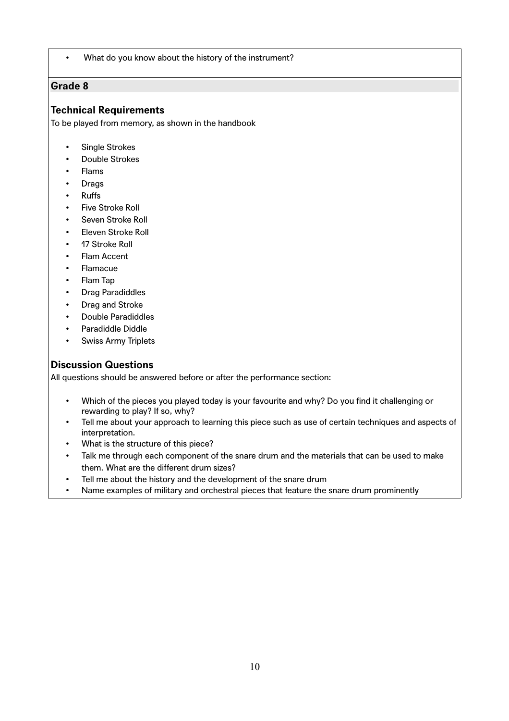What do you know about the history of the instrument?

### **Grade 8**

### **Technical Requirements**

To be played from memory, as shown in the handbook

- Single Strokes
- Double Strokes
- Flams
- **Drags**
- Ruffs
- Five Stroke Roll
- Seven Stroke Roll
- Eleven Stroke Roll
- 17 Stroke Roll
- Flam Accent
- **Flamacue**
- Flam Tap
- Drag Paradiddles
- Drag and Stroke
- Double Paradiddles
- Paradiddle Diddle
- Swiss Army Triplets

# **Discussion Questions**

- Which of the pieces you played today is your favourite and why? Do you find it challenging or rewarding to play? If so, why?
- Tell me about your approach to learning this piece such as use of certain techniques and aspects of interpretation.
- What is the structure of this piece?
- Talk me through each component of the snare drum and the materials that can be used to make them. What are the different drum sizes?
- Tell me about the history and the development of the snare drum
- Name examples of military and orchestral pieces that feature the snare drum prominently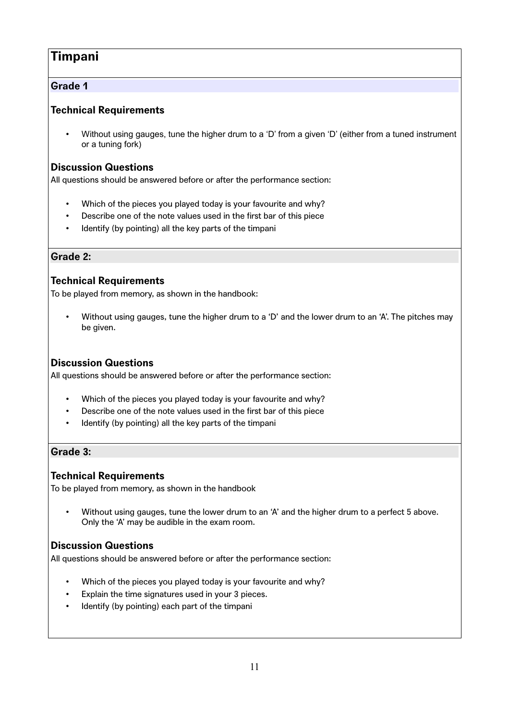# **Timpani**

# **Grade 1**

# **Technical Requirements**

• Without using gauges, tune the higher drum to a 'D' from a given 'D' (either from a tuned instrument or a tuning fork)

# **Discussion Questions**

All questions should be answered before or after the performance section:

- Which of the pieces you played today is your favourite and why?
- Describe one of the note values used in the first bar of this piece
- Identify (by pointing) all the key parts of the timpani

## **Grade 2:**

# **Technical Requirements**

To be played from memory, as shown in the handbook:

• Without using gauges, tune the higher drum to a 'D' and the lower drum to an 'A'. The pitches may be given.

# **Discussion Questions**

All questions should be answered before or after the performance section:

- Which of the pieces you played today is your favourite and why?
- Describe one of the note values used in the first bar of this piece
- Identify (by pointing) all the key parts of the timpani

# **Grade 3:**

# **Technical Requirements**

To be played from memory, as shown in the handbook

• Without using gauges, tune the lower drum to an 'A' and the higher drum to a perfect 5 above. Only the 'A' may be audible in the exam room.

# **Discussion Questions**

- Which of the pieces you played today is your favourite and why?
- Explain the time signatures used in your 3 pieces.
- Identify (by pointing) each part of the timpani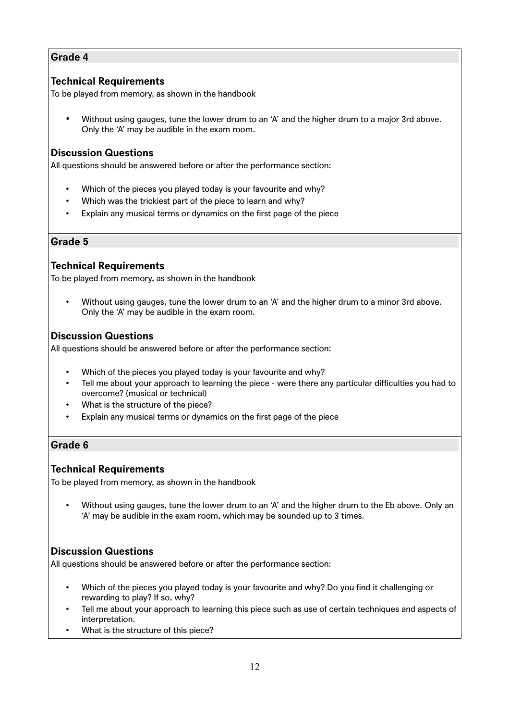### **Technical Requirements**

To be played from memory, as shown in the handbook

• Without using gauges, tune the lower drum to an 'A' and the higher drum to a major 3rd above. Only the 'A' may be audible in the exam room.

### **Discussion Questions**

All questions should be answered before or after the performance section:

- Which of the pieces you played today is your favourite and why?
- Which was the trickiest part of the piece to learn and why?
- Explain any musical terms or dynamics on the first page of the piece

#### **Grade 5**

### **Technical Requirements**

To be played from memory, as shown in the handbook

• Without using gauges, tune the lower drum to an 'A' and the higher drum to a minor 3rd above. Only the 'A' may be audible in the exam room.

### **Discussion Questions**

All questions should be answered before or after the performance section:

- Which of the pieces you played today is your favourite and why?
- Tell me about your approach to learning the piece were there any particular difficulties you had to overcome? (musical or technical)
- What is the structure of the piece?
- Explain any musical terms or dynamics on the first page of the piece

### **Grade 6**

#### **Technical Requirements**

To be played from memory, as shown in the handbook

• Without using gauges, tune the lower drum to an 'A' and the higher drum to the Eb above. Only an 'A' may be audible in the exam room, which may be sounded up to 3 times.

# **Discussion Questions**

- Which of the pieces you played today is your favourite and why? Do you find it challenging or rewarding to play? If so, why?
- Tell me about your approach to learning this piece such as use of certain techniques and aspects of interpretation.
- What is the structure of this piece?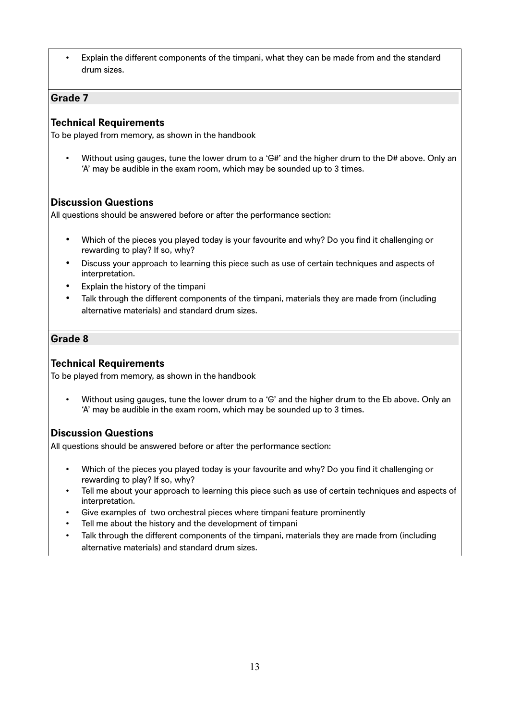• Explain the different components of the timpani, what they can be made from and the standard drum sizes.

#### **Grade 7**

### **Technical Requirements**

To be played from memory, as shown in the handbook

Without using gauges, tune the lower drum to a 'G#' and the higher drum to the D# above. Only an 'A' may be audible in the exam room, which may be sounded up to 3 times.

## **Discussion Questions**

All questions should be answered before or after the performance section:

- Which of the pieces you played today is your favourite and why? Do you find it challenging or rewarding to play? If so, why?
- Discuss your approach to learning this piece such as use of certain techniques and aspects of interpretation.
- Explain the history of the timpani
- Talk through the different components of the timpani, materials they are made from (including alternative materials) and standard drum sizes.

### **Grade 8**

### **Technical Requirements**

To be played from memory, as shown in the handbook

• Without using gauges, tune the lower drum to a 'G' and the higher drum to the Eb above. Only an 'A' may be audible in the exam room, which may be sounded up to 3 times.

### **Discussion Questions**

- Which of the pieces you played today is your favourite and why? Do you find it challenging or rewarding to play? If so, why?
- Tell me about your approach to learning this piece such as use of certain techniques and aspects of interpretation.
- Give examples of two orchestral pieces where timpani feature prominently
- Tell me about the history and the development of timpani
- Talk through the different components of the timpani, materials they are made from (including alternative materials) and standard drum sizes.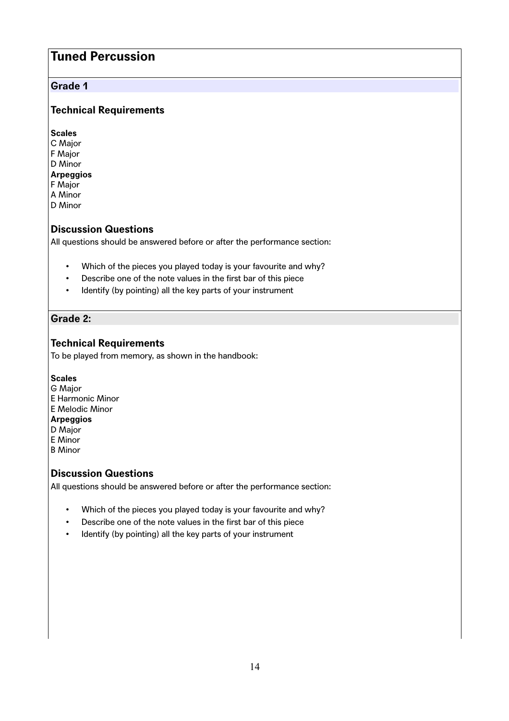# **Tuned Percussion**

### **Grade 1**

# **Technical Requirements**

**Scales** C Major F Major D Minor **Arpeggios** F Major A Minor

D Minor

## **Discussion Questions**

All questions should be answered before or after the performance section:

- Which of the pieces you played today is your favourite and why?
- Describe one of the note values in the first bar of this piece
- Identify (by pointing) all the key parts of your instrument

### **Grade 2:**

### **Technical Requirements**

To be played from memory, as shown in the handbook:

#### **Scales**

G Major E Harmonic Minor E Melodic Minor **Arpeggios** D Major E Minor B Minor

### **Discussion Questions**

- Which of the pieces you played today is your favourite and why?
- Describe one of the note values in the first bar of this piece
- Identify (by pointing) all the key parts of your instrument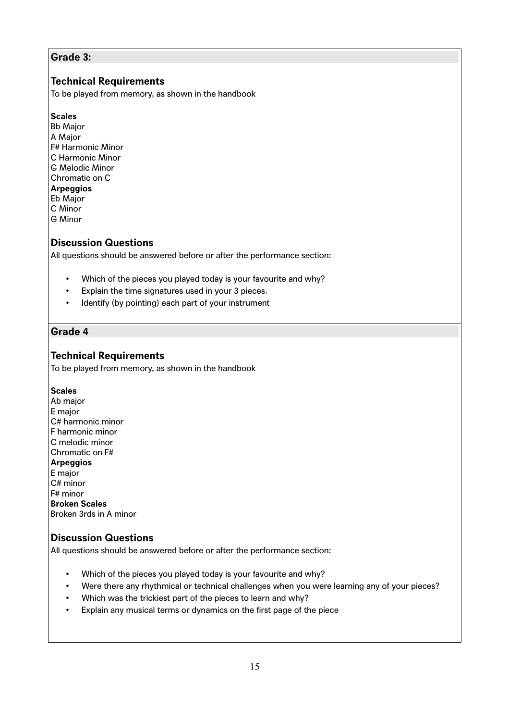### **Grade 3:**

## **Technical Requirements**

To be played from memory, as shown in the handbook

#### **Scales**

Bb Major A Major F# Harmonic Minor C Harmonic Minor G Melodic Minor Chromatic on C **Arpeggios** Eb Major C Minor G Minor

## **Discussion Questions**

All questions should be answered before or after the performance section:

- Which of the pieces you played today is your favourite and why?
- Explain the time signatures used in your 3 pieces.
- Identify (by pointing) each part of your instrument

### **Grade 4**

### **Technical Requirements**

To be played from memory, as shown in the handbook

#### **Scales**

Ab major E major C# harmonic minor F harmonic minor C melodic minor Chromatic on F# **Arpeggios** E major C# minor F# minor **Broken Scales** Broken 3rds in A minor

#### **Discussion Questions**

- Which of the pieces you played today is your favourite and why?
- Were there any rhythmical or technical challenges when you were learning any of your pieces?
- Which was the trickiest part of the pieces to learn and why?
- Explain any musical terms or dynamics on the first page of the piece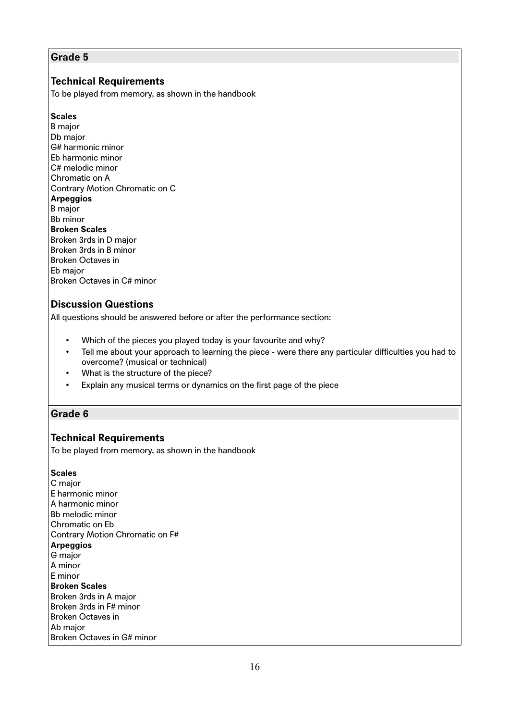## **Technical Requirements**

To be played from memory, as shown in the handbook

#### **Scales**

B major Db major G# harmonic minor Eb harmonic minor C# melodic minor Chromatic on A Contrary Motion Chromatic on C **Arpeggios** B major Bb minor **Broken Scales** Broken 3rds in D major Broken 3rds in B minor Broken Octaves in Eb major Broken Octaves in C# minor

### **Discussion Questions**

All questions should be answered before or after the performance section:

- Which of the pieces you played today is your favourite and why?
- Tell me about your approach to learning the piece were there any particular difficulties you had to overcome? (musical or technical)
- What is the structure of the piece?
- Explain any musical terms or dynamics on the first page of the piece

### **Grade 6**

### **Technical Requirements**

To be played from memory, as shown in the handbook

#### **Scales**

C major E harmonic minor A harmonic minor Bb melodic minor Chromatic on Eb Contrary Motion Chromatic on F# **Arpeggios** G major A minor E minor **Broken Scales** Broken 3rds in A major Broken 3rds in F# minor Broken Octaves in Ab major Broken Octaves in G# minor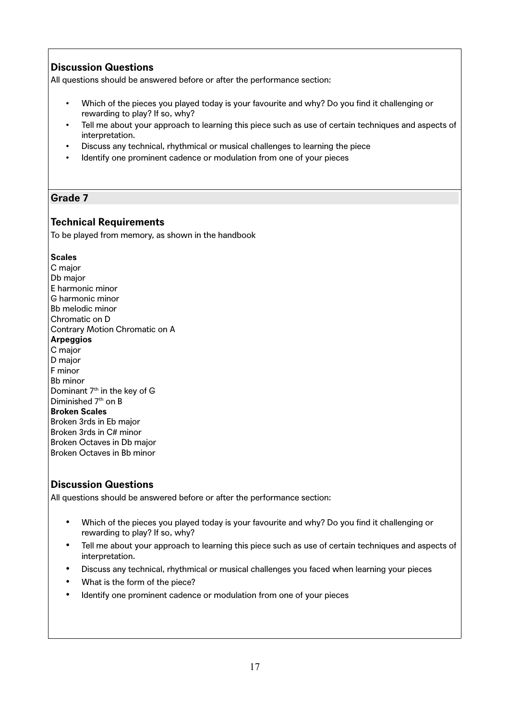All questions should be answered before or after the performance section:

- Which of the pieces you played today is your favourite and why? Do you find it challenging or rewarding to play? If so, why?
- Tell me about your approach to learning this piece such as use of certain techniques and aspects of interpretation.
- Discuss any technical, rhythmical or musical challenges to learning the piece
- Identify one prominent cadence or modulation from one of your pieces

### **Grade 7**

### **Technical Requirements**

To be played from memory, as shown in the handbook

#### **Scales**

C major Db major E harmonic minor G harmonic minor Bb melodic minor Chromatic on D Contrary Motion Chromatic on A **Arpeggios** C major D major F minor Bb minor Dominant  $7<sup>th</sup>$  in the key of G Diminished 7<sup>th</sup> on B **Broken Scales** Broken 3rds in Eb major Broken 3rds in C# minor Broken Octaves in Db major Broken Octaves in Bb minor

### **Discussion Questions**

- Which of the pieces you played today is your favourite and why? Do you find it challenging or rewarding to play? If so, why?
- Tell me about your approach to learning this piece such as use of certain techniques and aspects of interpretation.
- Discuss any technical, rhythmical or musical challenges you faced when learning your pieces
- What is the form of the piece?
- Identify one prominent cadence or modulation from one of your pieces